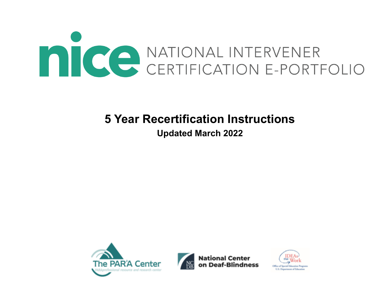

# **5 Year Recertification Instructions**

# **Updated March 2022**





**National Center** 

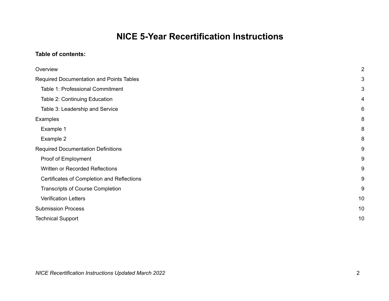# **NICE 5-Year Recertification Instructions**

### **Table of contents:**

| Overview                                   | $\overline{2}$          |
|--------------------------------------------|-------------------------|
|                                            |                         |
| Required Documentation and Points Tables   | 3                       |
| Table 1: Professional Commitment           | 3                       |
| Table 2: Continuing Education              | $\overline{\mathbf{4}}$ |
| Table 3: Leadership and Service            | 6                       |
| Examples                                   | 8                       |
| Example 1                                  | 8                       |
| Example 2                                  | 8                       |
| <b>Required Documentation Definitions</b>  | 9                       |
| Proof of Employment                        | 9                       |
| Written or Recorded Reflections            | 9                       |
| Certificates of Completion and Reflections | 9                       |
| <b>Transcripts of Course Completion</b>    | 9                       |
| <b>Verification Letters</b>                | 10                      |
| <b>Submission Process</b>                  | 10                      |
| <b>Technical Support</b>                   | 10                      |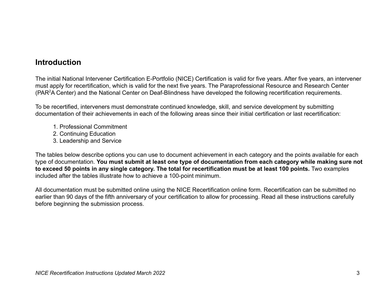## **Introduction**

The initial National Intervener Certification E-Portfolio (NICE) Certification is valid for five years. After five years, an intervener must apply for recertification, which is valid for the next five years. The Paraprofessional Resource and Research Center (PAR<sup>2</sup>A Center) and the National Center on Deaf-Blindness have developed the following recertification requirements.

To be recertified, interveners must demonstrate continued knowledge, skill, and service development by submitting documentation of their achievements in each of the following areas since their initial certification or last recertification:

- 1. Professional Commitment
- 2. Continuing Education
- 3. Leadership and Service

The tables below describe options you can use to document achievement in each category and the points available for each type of documentation. **You must submit at least one type of documentation from each category while making sure not to exceed 50 points in any single category. The total for recertification must be at least 100 points.** Two examples included after the tables illustrate how to achieve a 100-point minimum.

All documentation must be submitted online using the NICE Recertification online form. Recertification can be submitted no earlier than 90 days of the fifth anniversary of your certification to allow for processing. Read all these instructions carefully before beginning the submission process.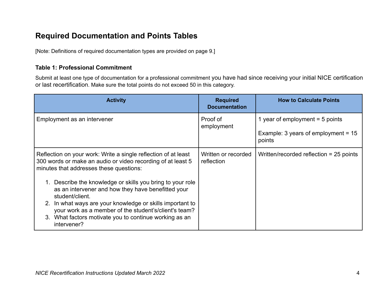# **Required Documentation and Points Tables**

[Note: Definitions of required documentation types are provided on page 9.]

### **Table 1: Professional Commitment**

Submit at least one type of documentation for a professional commitment you have had since receiving your initial NICE certification or last recertification. Make sure the total points do not exceed 50 in this category.

| <b>Activity</b>                                                                                                                                                                                                                                                                                                                                                                                                                                                                                                | <b>Required</b><br><b>Documentation</b> | <b>How to Calculate Points</b>                                                       |
|----------------------------------------------------------------------------------------------------------------------------------------------------------------------------------------------------------------------------------------------------------------------------------------------------------------------------------------------------------------------------------------------------------------------------------------------------------------------------------------------------------------|-----------------------------------------|--------------------------------------------------------------------------------------|
| Employment as an intervener                                                                                                                                                                                                                                                                                                                                                                                                                                                                                    | Proof of<br>employment                  | 1 year of employment $=$ 5 points<br>Example: 3 years of employment = $15$<br>points |
| Reflection on your work: Write a single reflection of at least<br>300 words or make an audio or video recording of at least 5<br>minutes that addresses these questions:<br>Describe the knowledge or skills you bring to your role<br>as an intervener and how they have benefitted your<br>student/client.<br>In what ways are your knowledge or skills important to<br>2.<br>your work as a member of the student's/client's team?<br>3. What factors motivate you to continue working as an<br>intervener? | Written or recorded<br>reflection       | Written/recorded reflection $= 25$ points                                            |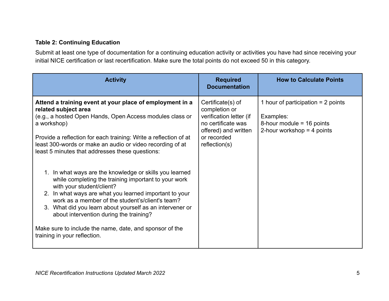## **Table 2: Continuing Education**

Submit at least one type of documentation for a continuing education activity or activities you have had since receiving your initial NICE certification or last recertification. Make sure the total points do not exceed 50 in this category.

| <b>Activity</b>                                                                                                                                                                                                                                                                                                                                                                                                                                              | <b>Required</b><br><b>Documentation</b>                                                                                                     | <b>How to Calculate Points</b>                                                                                   |
|--------------------------------------------------------------------------------------------------------------------------------------------------------------------------------------------------------------------------------------------------------------------------------------------------------------------------------------------------------------------------------------------------------------------------------------------------------------|---------------------------------------------------------------------------------------------------------------------------------------------|------------------------------------------------------------------------------------------------------------------|
| Attend a training event at your place of employment in a<br>related subject area<br>(e.g., a hosted Open Hands, Open Access modules class or<br>a workshop)<br>Provide a reflection for each training: Write a reflection of at<br>least 300-words or make an audio or video recording of at<br>least 5 minutes that addresses these questions:                                                                                                              | Certificate(s) of<br>completion or<br>verification letter (if<br>no certificate was<br>offered) and written<br>or recorded<br>reflection(s) | 1 hour of participation $= 2$ points<br>Examples:<br>8-hour module $=$ 16 points<br>2-hour workshop $=$ 4 points |
| 1. In what ways are the knowledge or skills you learned<br>while completing the training important to your work<br>with your student/client?<br>2. In what ways are what you learned important to your<br>work as a member of the student's/client's team?<br>3. What did you learn about yourself as an intervener or<br>about intervention during the training?<br>Make sure to include the name, date, and sponsor of the<br>training in your reflection. |                                                                                                                                             |                                                                                                                  |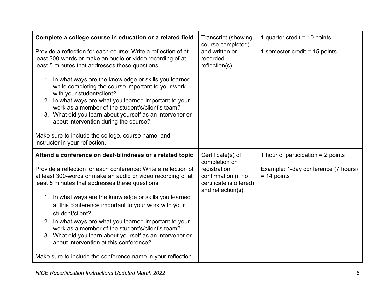| Complete a college course in education or a related field<br>Provide a reflection for each course: Write a reflection of at<br>least 300-words or make an audio or video recording of at<br>least 5 minutes that addresses these questions:<br>1. In what ways are the knowledge or skills you learned<br>while completing the course important to your work<br>with your student/client?<br>2. In what ways are what you learned important to your<br>work as a member of the student's/client's team?<br>3. What did you learn about yourself as an intervener or<br>about intervention during the course?<br>Make sure to include the college, course name, and<br>instructor in your reflection. | <b>Transcript (showing</b><br>course completed)<br>and written or<br>recorded<br>reflection(s)                            | 1 quarter credit = $10$ points<br>1 semester credit = $15$ points                            |
|------------------------------------------------------------------------------------------------------------------------------------------------------------------------------------------------------------------------------------------------------------------------------------------------------------------------------------------------------------------------------------------------------------------------------------------------------------------------------------------------------------------------------------------------------------------------------------------------------------------------------------------------------------------------------------------------------|---------------------------------------------------------------------------------------------------------------------------|----------------------------------------------------------------------------------------------|
| Attend a conference on deaf-blindness or a related topic<br>Provide a reflection for each conference: Write a reflection of<br>at least 300-words or make an audio or video recording of at<br>least 5 minutes that addresses these questions:<br>1. In what ways are the knowledge or skills you learned<br>at this conference important to your work with your<br>student/client?<br>2. In what ways are what you learned important to your<br>work as a member of the student's/client's team?<br>3. What did you learn about yourself as an intervener or<br>about intervention at this conference?<br>Make sure to include the conference name in your reflection.                              | Certificate(s) of<br>completion or<br>registration<br>confirmation (if no<br>certificate is offered)<br>and reflection(s) | 1 hour of participation $= 2$ points<br>Example: 1-day conference (7 hours)<br>$= 14$ points |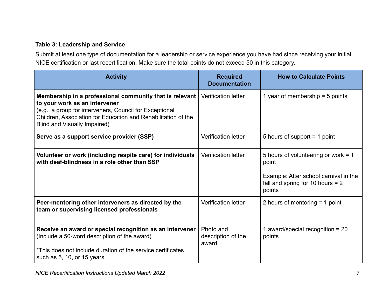## **Table 3: Leadership and Service**

Submit at least one type of documentation for a leadership or service experience you have had since receiving your initial NICE certification or last recertification. Make sure the total points do not exceed 50 in this category.

| <b>Activity</b>                                                                                                                                                                                                                                      | <b>Required</b><br><b>Documentation</b>  | <b>How to Calculate Points</b>                                                                                                        |
|------------------------------------------------------------------------------------------------------------------------------------------------------------------------------------------------------------------------------------------------------|------------------------------------------|---------------------------------------------------------------------------------------------------------------------------------------|
| Membership in a professional community that is relevant<br>to your work as an intervener<br>(e.g., a group for interveners, Council for Exceptional<br>Children, Association for Education and Rehabilitation of the<br>Blind and Visually Impaired) | <b>Verification letter</b>               | 1 year of membership $=$ 5 points                                                                                                     |
| Serve as a support service provider (SSP)                                                                                                                                                                                                            | <b>Verification letter</b>               | 5 hours of support $=$ 1 point                                                                                                        |
| Volunteer or work (including respite care) for individuals<br>with deaf-blindness in a role other than SSP                                                                                                                                           | <b>Verification letter</b>               | 5 hours of volunteering or work = 1<br>point<br>Example: After school carnival in the<br>fall and spring for 10 hours $= 2$<br>points |
| Peer-mentoring other interveners as directed by the<br>team or supervising licensed professionals                                                                                                                                                    | <b>Verification letter</b>               | 2 hours of mentoring $=$ 1 point                                                                                                      |
| Receive an award or special recognition as an intervener<br>(Include a 50-word description of the award)<br>*This does not include duration of the service certificates<br>such as 5, 10, or 15 years.                                               | Photo and<br>description of the<br>award | 1 award/special recognition = $20$<br>points                                                                                          |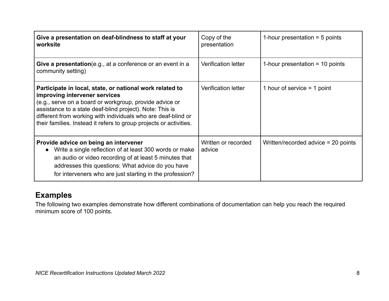| Give a presentation on deaf-blindness to staff at your<br>worksite                                                                                                                                                                                                                                                                                      | Copy of the<br>presentation   | 1-hour presentation $=$ 5 points      |
|---------------------------------------------------------------------------------------------------------------------------------------------------------------------------------------------------------------------------------------------------------------------------------------------------------------------------------------------------------|-------------------------------|---------------------------------------|
| Give a presentation (e.g., at a conference or an event in a<br>community setting)                                                                                                                                                                                                                                                                       | <b>Verification letter</b>    | 1-hour presentation $=$ 10 points     |
| Participate in local, state, or national work related to<br>improving intervener services<br>(e.g., serve on a board or workgroup, provide advice or<br>assistance to a state deaf-blind project). Note: This is<br>different from working with individuals who are deaf-blind or<br>their families. Instead it refers to group projects or activities. | <b>Verification letter</b>    | 1 hour of service $=$ 1 point         |
| Provide advice on being an intervener<br>Write a single reflection of at least 300 words or make<br>an audio or video recording of at least 5 minutes that<br>addresses this questions: What advice do you have<br>for interveners who are just starting in the profession?                                                                             | Written or recorded<br>advice | Written/recorded advice $= 20$ points |

# **Examples**

The following two examples demonstrate how different combinations of documentation can help you reach the required minimum score of 100 points.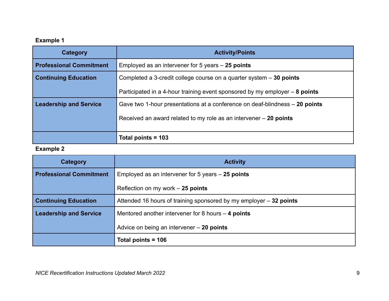## **Example 1**

| Category                       | <b>Activity/Points</b>                                                        |
|--------------------------------|-------------------------------------------------------------------------------|
| <b>Professional Commitment</b> | Employed as an intervener for 5 years $-25$ points                            |
| <b>Continuing Education</b>    | Completed a 3-credit college course on a quarter system - 30 points           |
|                                | Participated in a 4-hour training event sponsored by my employer $-$ 8 points |
| <b>Leadership and Service</b>  | Gave two 1-hour presentations at a conference on deaf-blindness – 20 points   |
|                                | Received an award related to my role as an intervener $-20$ points            |
|                                | Total points $=$ 103                                                          |

## **Example 2**

| <b>Category</b>                | <b>Activity</b>                                                    |
|--------------------------------|--------------------------------------------------------------------|
| <b>Professional Commitment</b> | Employed as an intervener for 5 years $-25$ points                 |
|                                | Reflection on my work $-25$ points                                 |
| <b>Continuing Education</b>    | Attended 16 hours of training sponsored by my employer – 32 points |
| <b>Leadership and Service</b>  | Mentored another intervener for 8 hours $-$ 4 points               |
|                                | Advice on being an intervener - 20 points                          |
|                                | Total points = 106                                                 |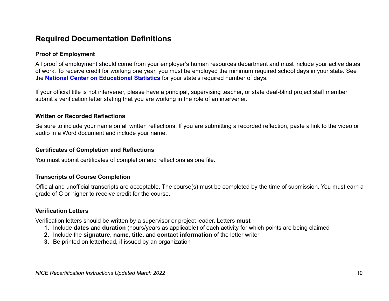## **Required Documentation Definitions**

#### **Proof of Employment**

All proof of employment should come from your employer's human resources department and must include your active dates of work. To receive credit for working one year, you must be employed the minimum required school days in your state. See the **National Center on Educational Statistics** for your state's required number of days.

If your official title is not intervener, please have a principal, supervising teacher, or state deaf-blind project staff member submit a verification letter stating that you are working in the role of an intervener.

#### **Written or Recorded Reflections**

Be sure to include your name on all written reflections. If you are submitting a recorded reflection, paste a link to the video or audio in a Word document and include your name.

#### **Certificates of Completion and Reflections**

You must submit certificates of completion and reflections as one file.

### **Transcripts of Course Completion**

Official and unofficial transcripts are acceptable. The course(s) must be completed by the time of submission. You must earn a grade of C or higher to receive credit for the course.

#### **Verification Letters**

Verification letters should be written by a supervisor or project leader. Letters **must**

- **1.** Include **dates** and **duration** (hours/years as applicable) of each activity for which points are being claimed
- **2.** Include the **signature**, **name**, **title,** and **contact information** of the letter writer
- **3.** Be printed on letterhead, if issued by an organization